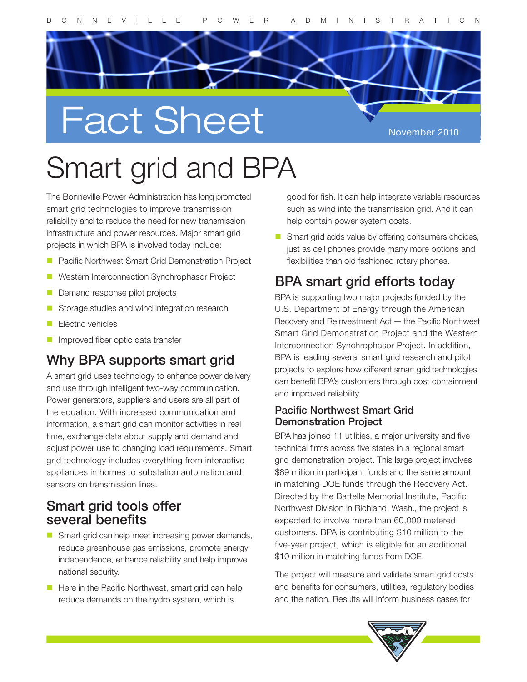

# Smart grid and BPA

Bonneville Power Administration has long promoted<br>art grid technologies to improve transmission The Bonneville Power Administration has long promoted smart grid technologies to improve transmission reliability and to reduce the need for new transmission infrastructure and power resources. Major smart grid projects in which BPA is involved today include:

- **Pacific Northwest Smart Grid Demonstration Project**
- Pacific Northwest Smart Grid Demonstration Project<br>Western Interconnection Synchrophasor Project<br>Demand response pilot projects **Western Interconnection Synchrophasor Project**
- Demand response pilot projects
- Storage studies and wind integration research
- **Electric vehicles**
- **Improved fiber optic data transfer**

# mproved liber optic data transfer<br>hy BPA supports smart grid Why BPA supports smart grid

information, a smart grid can monitor activities in real<br>time, exchange data about supply and demand and<br>adjust power use to changing load requirements. Smart A smart grid uses technology to enhance power delivery and use through intelligent two-way communication. Power generators, suppliers and users are all part of the equation. With increased communication and information, a smart grid can monitor activities in real time, exchange data about supply and demand and grid technology includes everything from interactive appliances in homes to substation automation and sensors on transmission lines.

### Smart grid tools offer several benefits

- Smart grid can help meet increasing power demands, reduce greenhouse gas emissions, promote energy independence, enhance reliability and help improve national security.
- $\blacksquare$  Here in the Pacific Northwest, smart grid can help reduce demands on the hydro system, which is

good for fish. It can help integrate variable resources such as wind into the transmission grid. And it can help contain power system costs.

Smart grid adds value by offering consumers choices, just as cell phones provide many more options and flexibilities than old fashioned rotary phones.

## BPA smart grid efforts today

BPA is supporting two major projects funded by the U.S. Department of Energy through the American Recovery and Reinvestment Act — the Pacific Northwest Smart Grid Demonstration Project and the Western Interconnection Synchrophasor Project. In addition, BPA is leading several smart grid research and pilot projects to explore how different smart grid technologies can benefit BPA's customers through cost containment and improved reliability.

#### Pacific Northwest Smart Grid Demonstration Project

BPA has joined 11 utilities, a major university and five technical firms across five states in a regional smart grid demonstration project. This large project involves \$89 million in participant funds and the same amount in matching DOE funds through the Recovery Act. Directed by the Battelle Memorial Institute, Pacific Northwest Division in Richland, Wash., the project is expected to involve more than 60,000 metered customers. BPA is contributing \$10 million to the five-year project, which is eligible for an additional \$10 million in matching funds from DOE.

The project will measure and validate smart grid costs and benefits for consumers, utilities, regulatory bodies and the nation. Results will inform business cases for

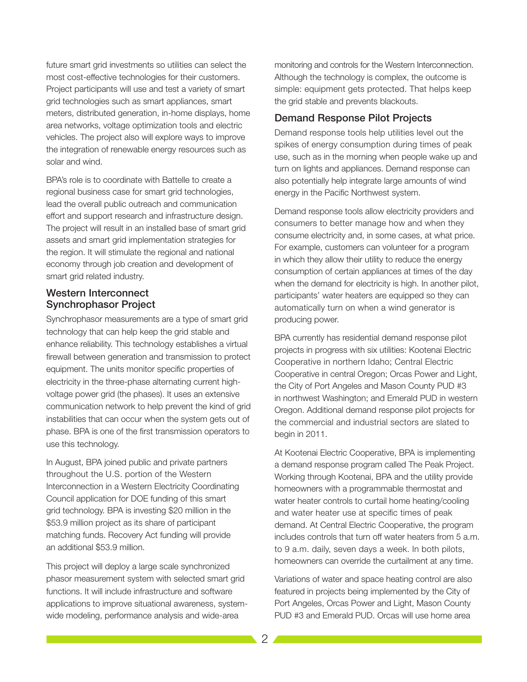future smart grid investments so utilities can select the most cost-effective technologies for their customers. Project participants will use and test a variety of smart grid technologies such as smart appliances, smart meters, distributed generation, in-home displays, home area networks, voltage optimization tools and electric vehicles. The project also will explore ways to improve the integration of renewable energy resources such as solar and wind.

BPA's role is to coordinate with Battelle to create a regional business case for smart grid technologies, lead the overall public outreach and communication effort and support research and infrastructure design. The project will result in an installed base of smart grid assets and smart grid implementation strategies for the region. It will stimulate the regional and national economy through job creation and development of smart grid related industry.

#### Western Interconnect Synchrophasor Project

Synchrophasor measurements are a type of smart grid technology that can help keep the grid stable and enhance reliability. This technology establishes a virtual firewall between generation and transmission to protect equipment. The units monitor specific properties of electricity in the three-phase alternating current highvoltage power grid (the phases). It uses an extensive communication network to help prevent the kind of grid instabilities that can occur when the system gets out of phase. BPA is one of the first transmission operators to use this technology.

In August, BPA joined public and private partners throughout the U.S. portion of the Western Interconnection in a Western Electricity Coordinating Council application for DOE funding of this smart grid technology. BPA is investing \$20 million in the \$53.9 million project as its share of participant matching funds. Recovery Act funding will provide an additional \$53.9 million.

This project will deploy a large scale synchronized phasor measurement system with selected smart grid functions. It will include infrastructure and software applications to improve situational awareness, systemwide modeling, performance analysis and wide-area

monitoring and controls for the Western Interconnection. Although the technology is complex, the outcome is simple: equipment gets protected. That helps keep the grid stable and prevents blackouts.

#### Demand Response Pilot Projects

Demand response tools help utilities level out the spikes of energy consumption during times of peak use, such as in the morning when people wake up and turn on lights and appliances. Demand response can also potentially help integrate large amounts of wind energy in the Pacific Northwest system.

Demand response tools allow electricity providers and consumers to better manage how and when they consume electricity and, in some cases, at what price. For example, customers can volunteer for a program in which they allow their utility to reduce the energy consumption of certain appliances at times of the day when the demand for electricity is high. In another pilot, participants' water heaters are equipped so they can automatically turn on when a wind generator is producing power.

BPA currently has residential demand response pilot projects in progress with six utilities: Kootenai Electric Cooperative in northern Idaho; Central Electric Cooperative in central Oregon; Orcas Power and Light, the City of Port Angeles and Mason County PUD #3 in northwest Washington; and Emerald PUD in western Oregon. Additional demand response pilot projects for the commercial and industrial sectors are slated to begin in 2011.

At Kootenai Electric Cooperative, BPA is implementing a demand response program called The Peak Project. Working through Kootenai, BPA and the utility provide homeowners with a programmable thermostat and water heater controls to curtail home heating/cooling and water heater use at specific times of peak demand. At Central Electric Cooperative, the program includes controls that turn off water heaters from 5 a.m. to 9 a.m. daily, seven days a week. In both pilots, homeowners can override the curtailment at any time.

Variations of water and space heating control are also featured in projects being implemented by the City of Port Angeles, Orcas Power and Light, Mason County PUD #3 and Emerald PUD. Orcas will use home area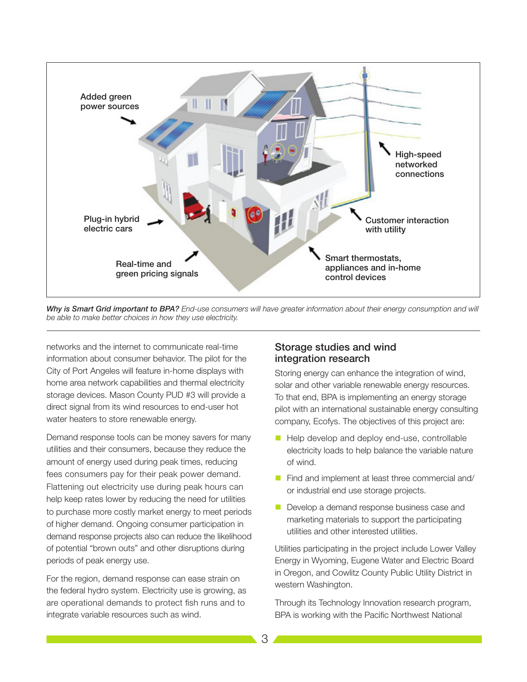

*Why is Smart Grid important to BPA? End-use consumers will have greater information about their energy consumption and will be able to make better choices in how they use electricity.*

networks and the internet to communicate real-time information about consumer behavior. The pilot for the City of Port Angeles will feature in-home displays with home area network capabilities and thermal electricity storage devices. Mason County PUD #3 will provide a direct signal from its wind resources to end-user hot water heaters to store renewable energy.

Demand response tools can be money savers for many utilities and their consumers, because they reduce the amount of energy used during peak times, reducing fees consumers pay for their peak power demand. Flattening out electricity use during peak hours can help keep rates lower by reducing the need for utilities to purchase more costly market energy to meet periods of higher demand. Ongoing consumer participation in demand response projects also can reduce the likelihood of potential "brown outs" and other disruptions during periods of peak energy use.

For the region, demand response can ease strain on the federal hydro system. Electricity use is growing, as are operational demands to protect fish runs and to integrate variable resources such as wind.

#### Storage studies and wind integration research

Storing energy can enhance the integration of wind, solar and other variable renewable energy resources. To that end, BPA is implementing an energy storage pilot with an international sustainable energy consulting company, Ecofys. The objectives of this project are:

- Help develop and deploy end-use, controllable electricity loads to help balance the variable nature of wind.
- Find and implement at least three commercial and/ or industrial end use storage projects.
- Develop a demand response business case and marketing materials to support the participating utilities and other interested utilities.

Utilities participating in the project include Lower Valley Energy in Wyoming, Eugene Water and Electric Board in Oregon, and Cowlitz County Public Utility District in western Washington.

Through its Technology Innovation research program, BPA is working with the Pacific Northwest National